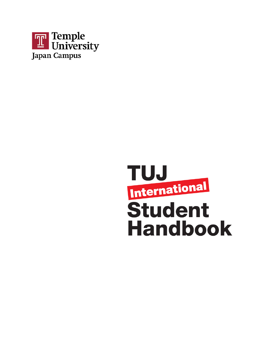

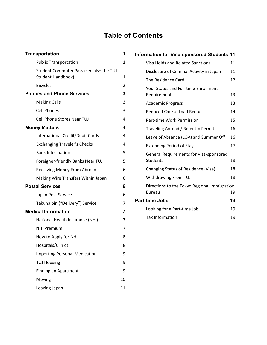# **Table of Contents**

| <b>Transportation</b>                                               | 1              |  |
|---------------------------------------------------------------------|----------------|--|
| <b>Public Transportation</b>                                        | 1              |  |
| Student Commuter Pass (see also the TUJ<br><b>Student Handbook)</b> | 1              |  |
| <b>Bicycles</b>                                                     | $\overline{2}$ |  |
| <b>Phones and Phone Services</b>                                    | 3              |  |
| <b>Making Calls</b>                                                 | 3              |  |
| <b>Cell Phones</b>                                                  | 3              |  |
| <b>Cell Phone Stores Near TUJ</b>                                   | 4              |  |
| <b>Money Matters</b>                                                | 4              |  |
| International Credit/Debit Cards                                    | 4              |  |
| <b>Exchanging Traveler's Checks</b>                                 | 4              |  |
| <b>Bank Information</b>                                             | 5              |  |
| Foreigner-friendly Banks Near TUJ                                   | 5              |  |
| Receiving Money From Abroad                                         | 6              |  |
| Making Wire Transfers Within Japan                                  | 6              |  |
| <b>Postal Services</b>                                              | 6              |  |
| Japan Post Service                                                  | 6              |  |
| Takuhaibin ("Delivery") Service                                     | 7              |  |
| <b>Medical Information</b>                                          | 7              |  |
| National Health Insurance (NHI)                                     | 7              |  |
| <b>NHI Premium</b>                                                  | 7              |  |
| How to Apply for NHI                                                | 8              |  |
| Hospitals/Clinics                                                   | 8              |  |
| <b>Importing Personal Medication</b>                                | 9              |  |
| <b>TUJ Housing</b>                                                  | 9              |  |
| <b>Finding an Apartment</b>                                         | 9              |  |
| Moving                                                              | 10             |  |
| Leaving Japan                                                       | 11             |  |

| Information for Visa-sponsored Students 11                    |    |
|---------------------------------------------------------------|----|
| Visa Holds and Related Sanctions                              | 11 |
| Disclosure of Criminal Activity in Japan                      | 11 |
| The Residence Card                                            | 12 |
| <b>Your Status and Full-time Enrollment</b><br>Requirement    | 13 |
| <b>Academic Progress</b>                                      | 13 |
| <b>Reduced Course Load Request</b>                            | 14 |
| Part-time Work Permission                                     | 15 |
| Traveling Abroad / Re-entry Permit                            | 16 |
| Leave of Absence (LOA) and Summer Off                         | 16 |
| <b>Extending Period of Stay</b>                               | 17 |
| General Requirements for Visa-sponsored<br><b>Students</b>    | 18 |
| Changing Status of Residence (Visa)                           | 18 |
| Withdrawing From TUJ                                          | 18 |
| Directions to the Tokyo Regional Immigration<br><b>Bureau</b> | 19 |
| <b>Part-time Jobs</b>                                         | 19 |
| Looking for a Part-time Job                                   | 19 |
| <b>Tax Information</b>                                        | 19 |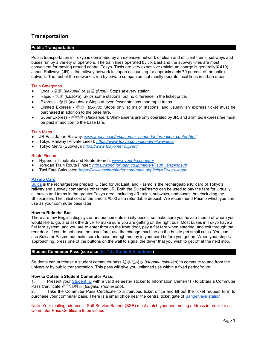# <span id="page-2-0"></span>**Transportation**

# <span id="page-2-1"></span>**Public Transportation**

Public transportation in Tokyo is dominated by an extensive network of clean and efficient trains, subways and buses run by a variety of operators. The train lines operated by JR East and the subway lines are most convenient for moving around central Tokyo. Taxis are very expensive (minimum charge is generally ¥ 410). Japan Railways (JR) is the railway network in Japan accounting for approximately 70 percent of the entire network. The rest of the network is run by private companies that mostly operate local lines in urban areas.

#### Train Categories

- Local 各駅 (*kakueki*) or 普通 (*futsu*): Stops at every station.
- Rapid 快速 (*kaisoku*): Skips some stations, but no difference in the ticket price.
- Express 急行 (*kyuukou*): Stops at even fewer stations than rapid trains.
- Limited Express 特急 (*tokkyu*): Stops only at major stations, and usually an express ticket must be purchased in addition to the base fare.
- Super Express 新幹線 (*shinkansen*): Shinkansens are only operated by JR, and a limited express fee must be paid in addition to the base fare.

#### Train Maps

- JR East Japan Railway: [www.jreast.co.jp/e/customer\\_support/information\\_center.html](http://www.jreast.co.jp/e/customer_support/information_center.html)
- Tokyu Railway (Private Lines): *<https://www.tokyu.co.jp/global/railway/line/>*
- Tokyo Metro (Subway): *<https://www.tokyometro.jp/en/>*

#### Route Finders

- Hyperdia Timetable and Route Search: *[www.hyperdia.com/en/](http://www.hyperdia.com/en/)*
- Jorudan Train Route Finder: *[https://world.jorudan.co.jp/mln/en/?sub\\_lang=nosub](https://world.jorudan.co.jp/mln/en/?sub_lang=nosub)*
- Taxi Fare Calculator: *<https://www.taxifarefinder.com/main.php?city=Tokyo-Japan>*

#### **[Pasmo Card](https://www.pasmo.co.jp/visitors/en/normalpasmo/)**

[Suica](http://www.jreast.co.jp/e/pass/suica.html) is the rechargeable prepaid IC card for JR East, and Pasmo is the rechargeable IC card of Tokyo's railway and subway companies other than JR. Both the Suica/Pasmo can be used to pay the fare for virtually all buses and trains in the greater Tokyo area, including JR trains, subways, and buses, but excluding the Shinkansen. The initial cost of the card is ¥500 as a refundable deposit. We recommend Pasmo which you can use as your commuter pass later.

#### **How to Ride the Bus**

There are few English displays or announcements on city buses, so make sure you have a memo of where you would like to go, and ask the driver to make sure you are getting on the right bus. Most buses in Tokyo have a flat fare system, and you are to enter through the front door, pay a flat fare when entering, and exit through the rear door. If you do not have the exact fare, use the change machine on the bus to get small coins. You can use Suica or Pasmo but make sure to have enough money in your card before you get on. When your stop is approaching, press one of the buttons on the wall to signal the driver that you wish to get off at the next stop.

#### <span id="page-2-2"></span>**Student Commuter Pass (see also [the TUJ Student Handbook\)](https://www.tuj.ac.jp/sites/japan/files/all-student-handbook-spring-2022.pdf)**

Students can purchase a student commuter pass 通学定期券 (*tsugaku teiki-ken*) to commute to and from the university by public transportation. This pass will give you unlimited use within a fixed period/route.

#### **How to Obtain a Student Commuter Pass:**

1. Present your [Student ID](https://tuportal6.temple.edu/group/japan/student-id-card) with a valid semester sticker to Information Center(1F) to obtain a Commuter Pass Certificate 通学証明書 (*tsugaku shomei sho*).

2. Take the Commuter Pass Certificate to a train/bus ticket office and fill out the ticket request form to purchase your commuter pass. There is a small office near the central ticket gate of [Sangenjaya station.](https://www.tokyu.co.jp/image/railway/img/denen_sangenjaya.jpg)

Note: Your mailing address in Self-Service Banner (SSB) must match your commuting address in order for a Commuter Pass Certificate to be issued.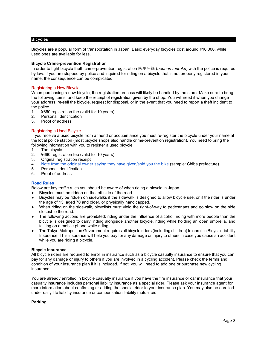## <span id="page-3-0"></span>**Bicycles**

Bicycles are a popular form of transportation in Japan. Basic everyday bicycles cost around ¥10,000, while used ones are available for less.

## **Bicycle Crime-prevention Registration**

In order to fight bicycle theft, crime-prevention registration 防犯登録 (*bouhan touroku*) with the police is required by law. If you are stopped by police and inquired for riding on a bicycle that is not properly registered in your name, the consequence can be complicated.

# Registering a New Bicycle

When purchasing a new bicycle, the registration process will likely be handled by the store. Make sure to bring the following items, and keep the receipt of registration given by the shop. You will need it when you change your address, re-sell the bicycle, request for disposal, or in the event that you need to report a theft incident to the police.

- 1. ¥660 registration fee (valid for 10 years)
- 2. Personal identification
- 3. Proof of address

# Registering a Used Bicycle

If you receive a used bicycle from a friend or acquaintance you must re-register the bicycle under your name at the local police station (most bicycle shops also handle crime-prevention registration). You need to bring the following information with you to register a used bicycle.

- 1. The bicycle
- 2. ¥660 registration fee (valid for 10 years)
- 3. Original registration receipt
- 4. [Note from the original owner saying they have given/sold you the bike](https://chiba-bicycle.com/jotoshomei.pdf) (sample: Chiba prefecture)<br>5. Personal identification
- 5. Personal identification
- 6. Proof of address

# **[Road Rules](https://www.npa.go.jp/koutsuu/kikaku/trafficsafety/traffic_safety_en.pdf)**

Below are key traffic rules you should be aware of when riding a bicycle in Japan.

- Bicycles must be ridden on the left side of the road.
- Bicycles may be ridden on sidewalks if the sidewalk is designed to allow bicycle use, or if the rider is under the age of 13, aged 70 and older, or physically handicapped.
- When riding on the sidewalk, bicyclists must yield the right-of-way to pedestrians and go slow on the side closest to the road.
- The following actions are prohibited: riding under the influence of alcohol, riding with more people than the bicycle is designed to carry, riding alongside another bicycle, riding while holding an open umbrella, and talking on a mobile phone while riding.
- The Tokyo Metropolitan Government requires all bicycle riders (including children) to enroll in Bicycle Liability Insurance. This insurance will help you pay for any damage or injury to others in case you cause an accident while you are riding a bicycle.

#### **Bicycle Insurance**

All bicycle riders are required to enroll in insurance such as a bicycle casualty insurance to ensure that you can pay for any damage or injury to others if you are involved in a cycling accident. Please check the terms and condition of your insurance plan if it is included. If not, you will need to add one or purchase new cycling insurance.

You are already enrolled in bicycle casualty insurance if you have the fire insurance or car insurance that your casualty insurance includes personal liability insurance as a special rider. Please ask your insurance agent for more information about confirming or adding the special rider to your insurance plan. You may also be enrolled under daily life liability insurance or compensation liability mutual aid.

#### **Parking**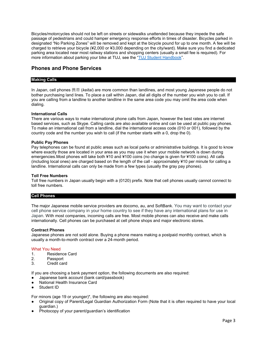Bicycles/motorcycles should not be left on streets or sidewalks unattended because they impede the safe passage of pedestrians and could hamper emergency response efforts in times of disaster. Bicycles parked in designated "No Parking Zones" will be removed and kept at the bicycle pound for up to one month. A fee will be charged to retrieve your bicycle (¥2,000 or ¥3,000 depending on the city/ward). Make sure you find a dedicated parking area located near most railway stations and shopping centers (usually a small fee is required). For more information about parking your bike at TUJ, see the ["TUJ Student Handbook"](https://www.tuj.ac.jp/ug/student-services/handbooks.html).

# <span id="page-4-0"></span>**Phones and Phone Services**

# <span id="page-4-1"></span>**Making Calls**

In Japan, cell phones 携帯 (*keitai*) are more common than landlines, and most young Japanese people do not bother purchasing land lines. To place a call within Japan, dial all digits of the number you wish you to call. If you are calling from a landline to another landline in the same area code you may omit the area code when dialing.

#### **International Calls**

There are various ways to make international phone calls from Japan, however the best rates are internet based services, such as Skype. Calling cards are also available online and can be used at public pay phones. To make an international call from a landline, dial the international access code (010 or 001), followed by the country code and the number you wish to call (if the number starts with a 0, drop the 0).

#### **Public Pay Phones**

Pay telephones can be found at public areas such as local parks or administrative buildings. It is good to know where exactly those are located in your area as you may use it when your mobile network is down during emergencies.Most phones will take both ¥10 and ¥100 coins (no change is given for ¥100 coins). All calls (including local ones) are charged based on the length of the call - approximately ¥10 per minute for calling a landline. International calls can only be made from a few types (usually the gray pay phones).

#### **Toll Free Numbers**

Toll free numbers in Japan usually begin with a (0120) prefix. Note that cell phones usually cannot connect to toll free numbers.

#### <span id="page-4-2"></span>**Cell Phones**

The major Japanese mobile service providers are docomo, au, and SoftBank. You may want to contact your cell phone service company in your home country to see if they have any international plans for use in Japan. With most companies, incoming calls are free. Most mobile phones can also receive and make calls internationally. Cell phones can be purchased at cell phone shops and major electronic stores.

#### **Contract Phones**

Japanese phones are not sold alone. Buying a phone means making a postpaid monthly contract, which is usually a month-to-month contract over a 24-month period.

#### What You Need

- 1. Residence Card
- 2. Passport
- 3. Credit card

If you are choosing a bank payment option, the following documents are also required:

- Japanese bank account (bank card/passbook)
- **National Health Insurance Card**
- Student ID

For minors (age 19 or younger)\*, the following are also required:

- Original copy of Parent/Legal Guardian Authorization Form (Note that it is often required to have your local guardian.)
- Photocopy of your parent/guardian's identification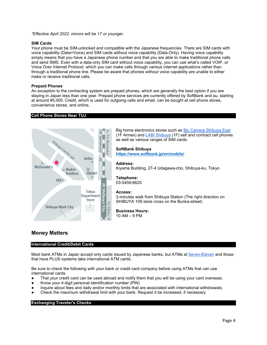*\*Effective April 2022, minors will be 17 or younger.*

# **SIM Cards**

Your phone must be SIM-unlocked and compatible with the Japanese frequencies. There are SIM cards with voice capability (Data+Voice) and SIM cards without voice capability (Data-Only). Having voice capability simply means that you have a Japanese phone number and that you are able to make traditional phone calls and send SMS. Even with a data-only SIM card without voice capability, you can use what's called VOIP, or Voice Over Internet Protocol, which you can make calls through various internet applications rather than through a traditional phone line. Please be aware that phones without voice capability are unable to either make or receive traditional calls.

# **Prepaid Phones**

An exception to the contracting system are prepaid phones, which are generally the best option if you are staying in Japan less than one year. Prepaid phone services are currently offered by SoftBank and au, starting at around ¥5,000. Credit, which is used for outgoing calls and email, can be bought at cell phone stores, convenience stores, and online.

# <span id="page-5-0"></span>**Cell Phone Stores Near TUJ**



Big home electronics stores such a[s Bic Camera Shibuya East](https://www.biccamera.com.e.lj.hp.transer.com/bc/i/shop/shoplist/shop008.jsp) (1F Annex) and [LABI Shibuya](http://www.yamadalabi.com/shibuya/access/index.html) (1F) sell and contract cell phones as well as various ranges of SIM cards.

**SoftBank Shibuya <https://www.softbank.jp/en/mobile/>**

**Address:** Kiyama Building, 27-4 Udagawa-cho, Shibuya-ku, Tokyo

**Telephone:** 03-5459-6625

#### **Access:**

3-minutes walk from Shibuya Station (The right direction on SHIBUYA 109 store cross on the Bunka-street)

**Business Hours:** 10 AM – 9 PM

# <span id="page-5-1"></span>**Money Matters**

#### <span id="page-5-2"></span>**International Credit/Debit Cards**

Most bank ATMs in Japan accept only cards issued by Japanese banks, but ATMs at [Seven-Eleven](https://www.sevenbank.co.jp/intlcard/index2.html) and those that have PLUS systems take international ATM cards.

Be sure to check the following with your bank or credit card company before using ATMs that can use international cards.

- That your credit card can be used abroad and notify them that you will be using your card overseas.
- Know your 4-digit personal identification number (PIN)
- Inquire about fees and daily and/or monthly limits that are associated with international withdrawals.
- Check the maximum withdrawal limit with your bank. Request it be increased, if necessary.

#### <span id="page-5-3"></span>**Exchanging Traveler's Checks**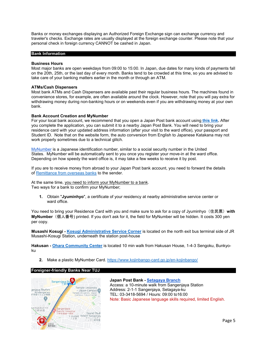Banks or money exchanges displaying an Authorized Foreign Exchange sign can exchange currency and traveler's checks. Exchange rates are usually displayed at the foreign exchange counter. Please note that your personal check in foreign currency CANNOT be cashed in Japan.

#### <span id="page-6-0"></span>**Bank Information**

#### **Business Hours**

Most major banks are open weekdays from 09:00 to 15:00. In Japan, due dates for many kinds of payments fall on the 20th, 25th, or the last day of every month. Banks tend to be crowded at this time, so you are advised to take care of your banking matters earlier in the month or through an ATM.

#### **ATMs/Cash Dispensers**

Most bank ATMs and Cash Dispensers are available past their regular business hours. The machines found in convenience stores, for example, are often available around the clock. However, note that you will pay extra for withdrawing money during non-banking hours or on weekends even if you are withdrawing money at your own bank.

#### **Bank Account Creation and MyNumber**

For your local bank account, we recommend that you open a Japan Post bank account using **[this link.](https://jp-bank-kaisetsu.japanpost.jp/account_open/0010.php)** After you complete the application, you can submit it to a nearby Japan Post Bank. You will need to bring your residence card with your updated address information (after your visit to the ward office), your passport and Student ID. Note that on the website form, the auto conversion from English to Japanese Katakana may not work properly sometimes due to a technical glitch.

[MyNumber](https://www.kojinbango-card.go.jp/en/) is a Japanese identification number, similar to a social security number in the United States. MyNumber will be automatically sent to you once you register your move-in at the ward office. Depending on how speedy the ward office is, it may take a few weeks to receive it by post.

If you are to receive money from abroad to your Japan Post bank account, you need to forward the details of [Remittance from overseas](https://www.jp-bank.japanpost.jp/en/djp/en_djp_index.html) banks to the sender.

At the same time, you need to inform your MyNumber to a bank. Two ways for a bank to confirm your MyNumber;

**1.** Obtain "**Jyuminhyo**", a certificate of your residency at nearby administrative service center or ward office.

You need to bring your Residence Card with you and make sure to ask for a copy of Jyuminhyo (住民票) with **MyNumber**(個人番号) printed. If you don't ask for it, the field for MyNumber will be hidden. It costs 300 yen per copy.

**Musashi Kosugi - [Kosugi Administrative Service Corner](https://www.city.kawasaki.jp/en/site_policy/0000000079.html)** is located on the north exit bus terminal side of JR Musashi-Kosugi Station, underneath the station post-house

**Hakusan - [Ohara Community Center](https://www.city.bunkyo.lg.jp/shisetsu/kumin/chiiki/ohara.html)** is located 10 min walk from Hakusan House, 1-4-3 Sengoku, Bunkyoku

**2.** Make a plastic MyNumber Card. <https://www.kojinbango-card.go.jp/en-kojinbango/>

#### <span id="page-6-1"></span>**Foreigner-friendly Banks Near TUJ**



**Japan Post Bank - [Setagaya Branch](https://global.map.japanpost.jp/p/en/search/dtl/300101045000/?&cond100=1&cond101=1&cond102=1&cond103=1&cond104=1&cond105=1&cond106=1&cond107=1&cond108=1&cond109=1&&his=ew,nm)** Access: a 10-minute walk from Sangenjaya Station Address: 2-1-1 Sangenjaya, Setagaya-ku TEL: 03-3418-5694 / Hours: 09:00 to16:00 Note: Basic Japanese language skills required, limited English.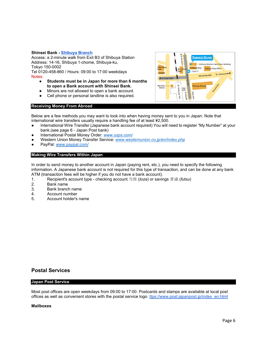## **Shinsei Bank - [Shibuya Branch](https://sp.shinseibank.com/english/atm/tempo/035/shibuya.html)**

Access: a 2-minute walk from Exit B3 of Shibuya Station Address: 14-16, Shibuya 1-chome, Shibuya-ku, Tokyo 150-0002

Tel 0120-458-860 / Hours: 09:00 to 17:00 weekdays Notes:

- **Students must be in Japan for more than 6 months to open a Bank account with Shinsei Bank.**
- Minors are not allowed to open a bank account.
- Cell phone or personal landline is also required.

#### **SHINSEI BANK** -Shibuya Nomura Securities Building S<mark>eibu De</mark>p ibuya Bowl Shibuya Post Office Exit 11 **SUTAY** To Omotesando Miyamasuzaka **∢To Do** 18 Shibuya Hachiko<br>Statue shibuya Hika East<br>Exit To Ebisu Mell-an Sta

# <span id="page-7-0"></span>**Receiving Money From Abroad**

Below are a few methods you may want to look into when having money sent to you in Japan. Note that international wire transfers usually require a handling fee of at least ¥2,500.

- International Wire Transfer (Japanese bank account required) You will need to register "My Number" at your bank.(see page 6 - Japan Post bank)
- International Postal Money Order: *[www.usps.com/](http://www.usps.com/)*
- Western Union Money Transfer Service: *[www.westernunion.co.jp/en/index.php](http://www.westernunion.co.jp/en/index.php)*
- PayPal: *[www.paypal.com/](http://www.paypal.com/)*

# <span id="page-7-1"></span>**Making Wire Transfers Within Japan**

In order to send money to another account in Japan (paying rent, etc.), you need to specify the following information. A Japanese bank account is not required for this type of transaction, and can be done at any bank ATM (transaction fees will be higher if you do not have a bank account).

- 1. Recipient's account type checking account 当座 (*toza*) or savings 普通 (*futsu*)
- 2. Bank name<br>3 Bank brancl
- 3. Bank branch name<br>4. Account number
- 4. Account number<br>5. Account holder's
- 5. Account holder's name

# <span id="page-7-2"></span>**Postal Services**

#### <span id="page-7-3"></span>**Japan Post Service**

Most post offices are open weekdays from 09:00 to 17:00. Postcards and stamps are available at local post offices as well as convenient stores with the postal service logo. [ttps://www.post.japanpost.jp/index\\_en.html](https://www.post.japanpost.jp/index_en.html)

#### **Mailboxes**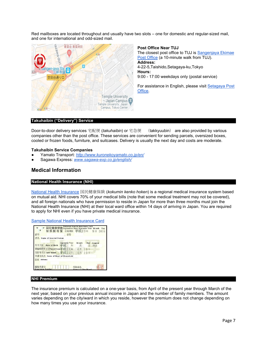Red mailboxes are located throughout and usually have two slots – one for domestic and regular-sized mail, and one for international and odd-sized mail.



**Post Office Near TUJ**

The closest post office to TUJ i[s Sangenjaya Ekimae](https://global.map.japanpost.jp/p/en/search/dtl/300101371000/?&cond100=1&cond101=1&cond102=1&cond103=1&cond104=1&cond105=1&cond106=1&cond107=1&cond108=1&cond109=1&&his=ew,nm)  [Post Office](https://global.map.japanpost.jp/p/en/search/dtl/300101371000/?&cond100=1&cond101=1&cond102=1&cond103=1&cond104=1&cond105=1&cond106=1&cond107=1&cond108=1&cond109=1&&his=ew,nm) (a 10-minute walk from TUJ). **Address:** 4-22-5,Taishido,Setagaya-ku,Tokyo **Hours:** 9:00 - 17:00 weekdays only (postal service)

For assistance in English, please visit [Setagaya Post](https://global.map.japanpost.jp/p/en/search/dtl/300101045000/?&cond100=1&cond101=1&cond102=1&cond103=1&cond104=1&cond105=1&cond106=1&cond107=1&cond108=1&cond109=1&&his=ew,nm)  [Office.](https://global.map.japanpost.jp/p/en/search/dtl/300101045000/?&cond100=1&cond101=1&cond102=1&cond103=1&cond104=1&cond105=1&cond106=1&cond107=1&cond108=1&cond109=1&&his=ew,nm)

# <span id="page-8-0"></span>**Takuhaibin ("Delivery") Service**

Door-to-door delivery services 宅配便 (*takuhaibin*) or 宅急便 (takkyuubin) are also provided by various companies other than the post office. These services are convenient for sending parcels, oversized boxes, cooled or frozen foods, furniture, and suitcases. Delivery is usually the next day and costs are moderate.

#### **Takuhaibin Service Companies**

- Yamato Transport: *<http://www.kuronekoyamato.co.jp/en/>*
- <span id="page-8-1"></span>● Sagawa Express: *[www.sagawa-exp.co.jp/english/](http://www.sagawa-exp.co.jp/english/)*

# **Medical Information**

#### <span id="page-8-2"></span>**National Health Insurance (NHI)**

[National Health Insurance](https://yosida.com/forms/nationalins.pdf) 国民健康保険 (*kokumin kenko hoken*) is a regional medical insurance system based on mutual aid. NHI covers 70% of your medical bills (note that some medical treatment may not be covered), and all foreign nationals who have permission to reside in Japan for more than three months must join the National Health Insurance (NHI) at their local ward office within 14 days of arriving in Japan. You are required to apply for NHI even if you have private medical insurance.

#### [Sample National Health Insurance Card](https://tuportal6.temple.edu/documents/627136/795118/National+Health+Insurance+Information+%281%29.pdf/269576d3-3811-7078-732e-a9d3b1aeaae0?t=1630911781421)

| 記号                                                       | 被保険者証 有効期限 平成23年<br>器号 |       |            | 9月 30日       |
|----------------------------------------------------------|------------------------|-------|------------|--------------|
| 氏名<br>Name of Insured Person                             |                        |       |            |              |
| 生年月日 Date of Birth 卫尿                                    | Japanese Year<br>征     | Month | Day        | Gender<br>性别 |
| 資格取得年月日Valid From L成22年 8月<br>交付年月日 Date Issued 平成22年 8月 |                        |       | 19日<br>19E |              |
| 世帯主氏名 Name of Head of Household                          |                        |       |            |              |
| <b>住所 Address</b>                                        |                        |       |            |              |

#### <span id="page-8-3"></span>**NHI Premium**

The insurance premium is calculated on a one-year basis, from April of the present year through March of the next year, based on your previous annual income in Japan and the number of family members. The amount varies depending on the city/ward in which you reside, however the premium does not change depending on how many times you use your insurance.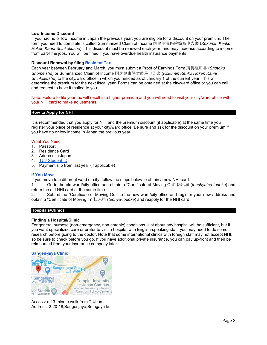## **Low Income Discount**

If you had no or low income in Japan the previous year, you are eligible for a discount on your premium. The form you need to complete is called Summarized Claim of Income 国民健康保険簡易申告書 (*Kokumin Kenko Hoken Kanni Shinkokusho*). This discount must be renewed each year, and may increase according to income from part-time jobs. You will be fined if you have overdue health insurance payments.

# **Discount Renewal by filing [Resident Tax](https://tuportal6.temple.edu/group/japan/nhi-resident-tax-and-medical-info#DynaContentContainer_oxuo_2)**

Each year between February and March, you must submit a Proof of Earnings Form 所得証明書 (*Shotoku Shomeisho*) or Summarized Claim of Income 国民健康保険簡易申告書 (*Kokumin Kenko Hoken Kanni Shinkokusho*) to the city/ward office in which you resided as of January 1 of the current year. This will determine the premium for the next fiscal year. Forms can be obtained at the city/ward office or you can call and request to have it mailed to you.

Note: Failure to file your tax will result in a higher premium and you will need to visit your city/ward office with your NHI card to make adjustments.

# <span id="page-9-0"></span>**How to Apply for NHI**

It is recommended that you apply for NHI and the premium discount (if applicable) at the same time you register your place of residence at your city/ward office. Be sure and ask for the discount on your premium if you have no or low income in Japan the previous year.

# What You Need

- 1. Passport
- 2. Residence Card
- 3. Address in Japan
- 4. [TUJ Student ID](https://tuportal6.temple.edu/group/japan/student-id-card)
- 5. Payment slip from last year (if applicable)

# **[If You Move](https://tuportal6.temple.edu/group/japan/osse-residence-card-page)**

If you move to a different ward or city, follow the steps below to obtain a new NHI card.

1. Go to the old ward/city office and obtain a "Certificate of Moving Out" 転出届 (*tenshyutsu-todoke*) and return the old NHI card at the same time.

2. Submit the "Certificate of Moving Out" to the new ward/city office and register your new address and obtain a "Certificate of Moving In" 転入届 (*tennyu-todoke*) and reapply for the NHI card.

#### <span id="page-9-1"></span>**Hospitals/Clinics**

#### **Finding a Hospital/Clinic**

For general purpose (non-emergency, non-chronic) conditions, just about any hospital will be sufficient, but if you want specialized care or prefer to visit a hospital with English-speaking staff, you may need to do some research before going to the doctor. Note that some international clinics with foreign staff may not accept NHI, so be sure to check before you go. If you have additional private insurance, you can pay up-front and then be reimbursed from your insurance company later.

#### **[Sangen-jaya Clinic](https://sancha-naika.com/english.html)**



Access: a 13-minute walk from TUJ on Address: 2-20-18,Sangenjaya,Setagaya-ku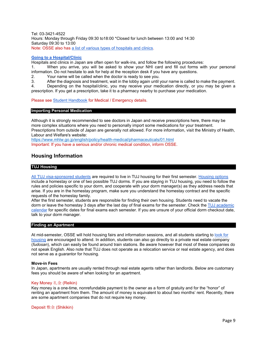Tel: 03-3421-4522 Hours: Monday through Friday 09:30 to18:00 \*Closed for lunch between 13:00 and 14:30 Saturday 09:30 to 13:00 Note: OSSE also has [a list of various types of hospitals and clinics.](https://tuportal6.temple.edu/documents/627136/634109/EN+Hospitals+%26+Clinic+near+TUJ+2021.pdf/4915fb54-aef1-037b-e9e7-38876c917c44?t=1630560605311)

#### **[Going to a Hospital/Clinic](https://tuportal6.temple.edu/documents/627136/634109/Medical+Information+and+Support+Services+2021.pdf/9c22f3de-f106-1aa7-c36a-e1e7cf8d4b68?t=1630395885416)**

Hospitals and clinics in Japan are often open for walk-ins, and follow the following procedures:

1. When you arrive, you will be asked to show your NHI card and fill out forms with your personal information. Do not hesitate to ask for help at the reception desk if you have any questions.

2. Your name will be called when the doctor is ready to see you.

3. After the diagnosis and treatment, wait in the lobby again until your name is called to make the payment.

4. Depending on the hospital/clinic, you may receive your medication directly, or you may be given a prescription. If you get a prescription, take it to a pharmacy nearby to purchase your medication.

Please se[e Student Handbook](https://www.tuj.ac.jp/ug/student-services/handbooks) for Medical / Emergency details.

#### <span id="page-10-0"></span>**Importing Personal Medication**

Although it is strongly recommended to see doctors in Japan and receive prescriptions here, there may be more complex situations where you need to personally import some medications for your treatment. Prescriptions from outside of Japan are generally not allowed. For more information, visit the Ministry of Health, Labour and Welfare's website:

<https://www.mhlw.go.jp/english/policy/health-medical/pharmaceuticals/01.html> Important: If you have a serious and/or chronic medical condition, inform OSSE.

# **Housing Information**

#### <span id="page-10-1"></span>**TUJ Housing**

[All TUJ visa-sponsored students](https://www.tuj.ac.jp/ug/student-services/housing/requirements) are required to live in TUJ housing for their first semester. [Housing options](https://www.tuj.ac.jp/ug/student-services/housing/options) include a homestay or one of two possible TUJ dorms. If you are staying in TUJ housing, you need to follow the rules and policies specific to your dorm, and cooperate with your dorm manager(s) as they address needs that arise. If you are in the homestay program, make sure you understand the homestay contract and the specific requests of the homestay family.

After the first semester, students are responsible for finding their own housing. Students need to vacate the dorm or leave the homestay 3 days after the last day of final exams for the semester. Check the [TUJ academic](https://www.tuj.ac.jp/ug/academics/semester-info/calendar)  [calendar](https://www.tuj.ac.jp/ug/academics/semester-info/calendar) for specific dates for final exams each semester. If you are unsure of your official dorm checkout date, talk to your dorm manager.

#### <span id="page-10-2"></span>**Finding an Apartment**

At mid-semester, OSSE will hold housing fairs and information sessions, and all students starting to look for [housing](https://www.tuj.ac.jp/ug/student-services/housing/find-apt-tokyo) are encouraged to attend. In addition, students can also go directly to a private real estate company (*fudosan*), which can easily be found around train stations. Be aware however that most of these companies do not speak English. Also note that TUJ does not operate as a relocation service or real estate agency, and does not serve as a guarantor for housing.

#### **Move-in Fees**

In Japan, apartments are usually rented through real estate agents rather than landlords. Below are customary fees you should be aware of when looking for an apartment.

#### Key Money 礼金 (Reikin)

Key money is a one-time, nonrefundable payment to the owner as a form of gratuity and for the "honor" of renting an apartment from them. The amount of money is equivalent to about two months' rent. Recently, there are some apartment companies that do not require key money.

Deposit 敷金 (Shikikin)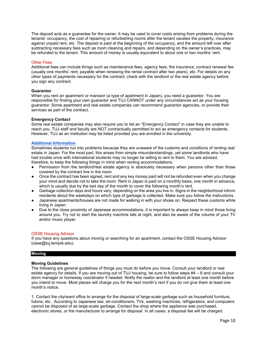The deposit acts as a guarantee for the owner. It may be used to cover costs arising from problems during the tenants' occupancy, the cost of repairing or refurbishing rooms after the tenant vacates the property, insurance against unpaid rent, etc. The deposit is paid at the beginning of the occupancy, and the amount left over after subtracting necessary fees such as room cleaning and repairs, and depending on the owner's practices, may be refunded to the tenant. This amount of money is usually equivalent to about one or two months' rent.

#### Other Fees

Additional fees can include things such as maintenance fees, agency fees, fire insurance, contract renewal fee (usually one months' rent; payable when renewing the rental contract after two years), etc. For details on any other types of payments necessary for the contract, check with the landlord or the real estate agency before you sign any contract.

#### **Guarantor**

When you rent an apartment or mansion (a type of apartment in Japan), you need a guarantor. You are responsible for finding your own guarantor and TUJ CANNOT under any circumstances act as your housing guarantor. Some apartment and real estate companies can recommend guarantor agencies, or provide their services as part of the contract.

#### **Emergency Contact**

Some real estate companies may also require you to list an "Emergency Contact" in case they are unable to reach you. TUJ staff and faculty are NOT contractually permitted to act as emergency contacts for students. However, TUJ as an institution may be listed provided you are enrolled in the university.

#### **[Additional Information](https://www.tuj.ac.jp/ug/student-services/housing/faq)**

Sometimes students run into problems because they are unaware of the customs and conditions of renting real estate in Japan. For the most part, this arises from simple misunderstandings, yet some landlords who have had trouble once with international students may no longer be willing to rent to them. You are advised, therefore, to keep the following things in mind when renting accommodations:

- Permission from the landlord/real estate agency is absolutely necessary when persons other than those covered by the contract live in the room.
- Once the contract has been signed, rent and any key money paid will not be refunded even when you change your mind and decide not to take the room. Rent in Japan is paid on a monthly basis, one month in advance, which is usually due by the last day of the month to cover the following month's rent.
- Garbage collection days and hours vary, depending on the area you live in. Signs in the neighborhood inform residents about the weekdays on which type of garbage is collected. Make sure you follow the instructions.
- Japanese apartments/houses are not made for walking in with your shoes on. Respect these customs while living in Japan.
- Due to the close proximity of Japanese accommodations, it is important to always keep in mind those living around you. Try not to start the laundry machine late at night, and also be aware of the volume of your TV and/or music player.

#### OSSE Housing Advisor

If you have any questions about moving or searching for an apartment, contact the OSSE Housing Advisor (osse@tuj.temple.edu).

#### <span id="page-11-0"></span>**Moving**

#### **Moving Guidelines**

The following are general guidelines of things you must do before you move. Consult your landlord or real estate agency for details. If you are moving out of TUJ housing, be sure to follow steps #4 – 8 and consult your dorm manager or homestay coordinator if needed. Notify the realtor and the landlord at least one month before you intend to move. Most places will charge you for the next month's rent if you do not give them at least one month's notice.

1. Contact the city/ward office to arrange for the disposal of large-scale garbage such as household furniture, futons, etc. According to Japanese law, air-conditioners, TVs, washing machines, refrigerators, and computers cannot be disposed of as large-scale garbage. Contact the shop where the appliance was purchased, electronic stores, or the manufacturer to arrange for disposal. In all cases, a disposal fee will be charged.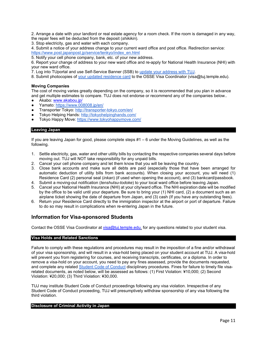2. Arrange a date with your landlord or real estate agency for a room check. If the room is damaged in any way, the repair fees will be deducted from the deposit (*shikikin*).

3. Stop electricity, gas and water with each company.

4. Submit a notice of your address change to your current ward office and post office. Redirection service: [https://www.post.japanpost.jp/service/tenkyo/index\\_en.html](https://www.post.japanpost.jp/service/tenkyo/index_en.html)

5. Notify your cell phone company, bank, etc. of your new address.

6. Report your change of address to your new ward office and re-apply for National Health Insurance (NHI) with your new ward office.

7. Log into TUportal and use Self-Service Banner (SSB) to [update your address with TUJ.](https://www.tuj.ac.jp/sites/japan/files/ssb-personal-info-update-manual.pdf)

8. Submit photocopies of [your updated residence card](https://tuportal6.temple.edu/group/japan/osse-residence-card-page) to the OSSE Visa Coordinator (visa@tuj.temple.edu).

# **Moving Companies**

The cost of moving varies greatly depending on the company, so it is recommended that you plan in advance and get multiple estimates to compare. TUJ does not endorse or recommend any of the companies below..

- Akabo: www.akabou.jp/
- Yamato:<https://www.008008.jp/en/>
- Transporter Tokyo:<http://transporter-tokyo.com/en/>
- Tokyo Helping Hands:<http://tokyohelpinghands.com/>
- Tokyo Happy Move:<https://www.tokyohappymove.com/>

#### <span id="page-12-0"></span>**Leaving Japan**

If you are leaving Japan for good, please complete steps #1 – 6 under the Moving Guidelines, as well as the following.

- 1. Settle electricity, gas, water and other utility bills by contacting the respective companies several days before moving out. TUJ will NOT take responsibility for any unpaid bills.
- 2. Cancel your cell phone company and let them know that you will be leaving the country.
- 3. Close bank accounts and make sure all debts are paid (especially those that have been arranged for automatic deduction of utility bills from bank accounts). When closing your account, you will need (1) Residence Card (2) personal seal (*inkan*) (if used when opening the account), and (3) bankcard/passbook.
- 4. Submit a moving-out notification (*tenshutsu-todoke*) to your local ward office before leaving Japan.
- 5. Cancel your National Health Insurance (NHI) at your city/ward office. The NHI expiration date will be modified by the office to be valid until your departure. Be sure to bring your (1) NHI card, (2) a document such as an airplane ticket showing the date of departure from Japan, and (3) cash (If you have any outstanding fees).
- 6. Return your Residence Card directly to the immigration inspector at the airport or port of departure. Failure to do so may result in complications when re-entering Japan in the future.

# <span id="page-12-1"></span>**Information for Visa-sponsored Students**

Contact the OSSE Visa Coordinator at [visa@tuj.temple.edu.](mailto:visa@tuj.temple.edu) for any questions related to your student visa.

#### <span id="page-12-2"></span>**Visa Holds and Related Sanctions**

Failure to comply with these regulations and procedures may result in the imposition of a fine and/or withdrawal of your visa sponsorship, and will result in a visa-hold being placed on your student account at TUJ. A visa-hold will prevent you from registering for courses, and receiving transcripts, certificates, or a diploma. In order to remove a visa-hold on your account, you need to pay any fines assessed, provide the documents requested, and complete any related [Student Code of Conduct](https://www.tuj.ac.jp/ug/student-services/tuj-policies) disciplinary procedures. Fines for failure to timely file visarelated documents, as noted below, will be assessed as follows: (1) First Violation: ¥10,000; (2) Second Violation: ¥20,000; (3) Third Violation: ¥30,000.

TUJ may institute Student Code of Conduct proceedings following any visa violation. Irrespective of any Student Code of Conduct proceeding, TUJ will presumptively withdraw sponsorship of any visa following the third violation.

#### <span id="page-12-3"></span>**Disclosure of Criminal Activity in Japan**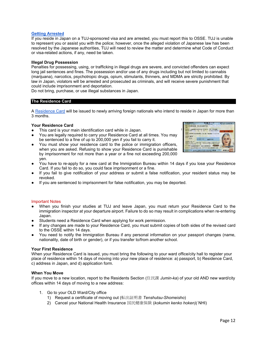# **Getting [Arrested](https://tuportal6.temple.edu/documents/627136/0/%E5%9C%A8%E7%95%99%E3%83%9E%E3%83%8B%E3%83%A5%E3%82%A2%E3%83%AB%28%E8%8B%B1%E8%AA%9E%29.pdf/ad08d210-c8e8-5c6b-e45e-be304cecf0e7?t=1630566285635)**

If you reside in Japan on a TUJ-sponsored visa and are arrested, you must report this to OSSE. TUJ is unable to represent you or assist you with the police; however, once the alleged violation of Japanese law has been resolved by the Japanese authorities, TUJ will need to review the matter and determine what Code of Conduct or visa-related actions, if any, need be taken.

# **Illegal Drug Possession**

Penalties for possessing, using, or trafficking in illegal drugs are severe, and convicted offenders can expect long jail sentences and fines. The possession and/or use of any drugs including but not limited to cannabis (marijuana), narcotics, psychotropic drugs, opium, stimulants, thinners, and MDMA are strictly prohibited. By law in Japan, violators will be arrested and prosecuted as criminals, and will receive severe punishment that could include imprisonment and deportation.

Do not bring, purchase, or use illegal substances in Japan.

#### <span id="page-13-0"></span>**The Residence Card**

A [Residence Card](https://tuportal6.temple.edu/group/japan/osse-residence-card-page) will be issued to newly arriving foreign nationals who intend to reside in Japan for more than 3 months.

#### **Your Residence Card**

- This card is your main identification card while in Japan.
- You are legally required to carry your Residence Card at all times. You may be sentenced to a fine of up to 200,000 yen if you fail to carry it.
- You must show your residence card to the police or immigration officers, when you are asked. Refusing to show your Residence Card is punishable by imprisonment for not more than a year or a fine not exceeding 200,000 yen.



- You have to re-apply for a new card at the Immigration Bureau within 14 days if you lose your Residence Card. If you fail to do so, you could face imprisonment or a fine.
- If you fail to give notification of your address or submit a false notification, your resident status may be revoked.
- If you are sentenced to imprisonment for false notification, you may be deported.

#### Important Notes

- When you finish your studies at TUJ and leave Japan, you must return your Residence Card to the immigration inspector at your departure airport. Failure to do so may result in complications when re-entering Japan.
- Students need a Residence Card when applying for work permission.
- If any changes are made to your Residence Card, you must submit copies of both sides of the revised card to the OSSE within 14 days.
- You need to notify the Immigration Bureau if any personal information on your passport changes (name, nationality, date of birth or gender), or if you transfer to/from another school.

#### **Your First Residence**

When your Residence Card is issued, you must bring the following to your ward office/city hall to register your place of residence within 14 days of moving into your new place of residence: a) passport, b) Residence Card, c) address in Japan, and d) application form.

#### **When You Move**

If you move to a new location, report to the Residents Section (住民課 *Jumin-ka*) of your old AND new ward/city offices within 14 days of moving to a new address:

- 1. Go to your OLD Ward/City office
	- 1) Request a certificate of moving out (転出証明書 *Tenshutsu-Shomeisho*)
	- 2) Cancel your National Health Insurance 国民健康保険 (*kokumin kenko hoken)(* NHI)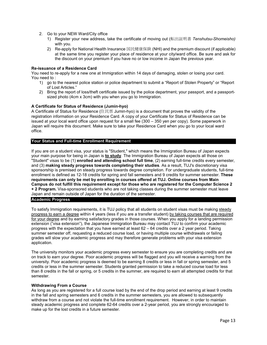- 2. Go to your NEW Ward/City office
	- 1) Register your new address, take the certificate of moving out (転出証明書 *Tenshutsu-Shomeisho)*  with you.
	- 2) Re-apply for National Health Insurance 国民健康保険 (NHI) and the premium discount (if applicable) at the same time you register your place of residence at your city/ward office. Be sure and ask for the discount on your premium if you have no or low income in Japan the previous year.

## **Re-issuance of a Residence Card**

You need to re-apply for a new one at Immigration within 14 days of damaging, stolen or losing your card. You need to :

- 1) go to the nearest police station or police department to submit a "Report of Stolen Property" or "Report of Lost Articles."
- 2) Bring the report of loss/theft certificate issued by the police department, your passport, and a passportsized photo (4cm x 3cm) with you when you go to Immigration.

# **A Certificate for Status of Residence (Jumin-hyo)**

A Certificate of Status for Residence (住民票 Jumin-hyo) is a document that proves the validity of the registration information on your Residence Card. A copy of your Certificate for Status of Residence can be issued at your local ward office upon request for a small fee (300 – 350 yen per copy). Some paperwork in Japan will require this document. Make sure to take your Residence Card when you go to your local ward office.

# <span id="page-14-0"></span>**Your Status and Full-time Enrollment Requirement**

If you are on a student visa, your status is "Student," which means the Immigration Bureau of Japan expects your main purpose for being in Japan is **to study**. The Immigration Bureau of Japan expects all those on "Student" visas to be (1) **enrolled and attending school full time**, (2) earning full-time credits every semester, and (3) **making steady progress towards completing their studies**. As a result, TUJ's discretionary visa sponsorship is premised on steady progress towards degree completion. For undergraduate students, full-time enrollment is defined as 12-18 credits for spring and fall semesters and 9 credits for summer semester. **These requirements can only be met by enrolling in courses offered at TUJ. Online courses from Main Campus do not fulfill this requirement except for those who are registered for the Computer Science 2 + 2 Program.** Visa-sponsored students who are not taking classes during the summer semester must leave Japan and remain outside of Japan for the duration of the semester.

#### <span id="page-14-1"></span>**Academic Progress**

To satisfy Immigration requirements, it is TUJ policy that all students on student visas must be making steady progress to earn a degree within 4 years (less if you are a transfer student) by taking courses that are required for your degree and by earning satisfactory grades in those courses. When you apply for a landing permission extension ("visa extension"), the Japanese Immigration Bureau may contact TUJ to confirm your academic progress with the expectation that you have earned at least 62 – 64 credits over a 2 year period. Taking summer semester off, requesting a reduced course load, or having multiple course withdrawals or failing grades will slow your academic progress and may therefore generate problems with your visa extension application.

The university monitors your academic progress every semester to ensure you are completing credits and are on track to earn your degree. Poor academic progress will be flagged and you will receive a warning from the university. Poor academic progress is deemed to be earning 8 credits or less in fall or spring semester, and 5 credits or less in the summer semester. Students granted permission to take a reduced course load for less than 8 credits in the fall or spring, or 5 credits in the summer, are required to earn all attempted credits for that semester.

#### **Withdrawing From a Course**

As long as you are registered for a full course load by the end of the drop period and earning at least 9 credits in the fall and spring semesters and 6 credits in the summer semesters, you are allowed to subsequently withdraw from a course and not violate the full-time enrollment requirement. However, in order to maintain steady academic progress and complete 62-64 credits over a 2-year period, you are strongly encouraged to make up for the lost credits in a future semester.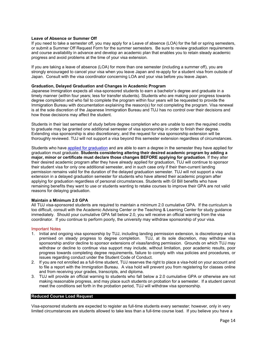# **Leave of Absence or Summer Off**

If you need to take a semester off, you may apply for a Leave of absence (LOA) for the fall or spring semesters, or submit a Summer Off Request Form for the summer semesters. Be sure to review graduation requirements and course availability in advance and develop an academic plan that enables you to retain steady academic progress and avoid problems at the time of your visa extension.

If you are taking a leave of absence (LOA) for more than one semester (including a summer off), you are strongly encouraged to cancel your visa when you leave Japan and re-apply for a student visa from outside of Japan. Consult with the visa coordinator concerning LOA and your visa before you leave Japan.

## **Graduation, Delayed Graduation and Changes in Academic Program**

Japanese Immigration expects all visa-sponsored students to earn a bachelor's degree and graduate in a timely manner (within four years; less for transfer students). Students who are making poor progress towards degree completion and who fail to complete the program within four years will be requested to provide the Immigration Bureau with documentation explaining the reason(s) for not completing the program. Visa renewal is at the sole discretion of the Japanese Immigration Bureau and TUJ has no control over their decisions and how those decisions may affect the student.

Students in their last semester of study before degree completion who are unable to earn the required credits to graduate may be granted one additional semester of visa sponsorship in order to finish their degree. Extending visa sponsorship is also discretionary, and the request for visa sponsorship extension will be thoroughly reviewed. TUJ will not support a visa beyond this semester extension regardless of circumstances.

Students who have [applied for graduation](https://www.tuj.ac.jp/ug/academics/policies-and-procedures/policies/graduation-procedure.html) and are able to earn a degree in the semester they have applied for graduation must graduate. **Students considering altering their desired academic program by adding a major, minor or certificate must declare those changes BEFORE applying for graduation**. If they alter their desired academic program after they have already applied for graduation, TUJ will continue to sponsor their student visa for only one additional semester, and in such case only if their then-current landing permission remains valid for the duration of the delayed graduation semester. TUJ will not support a visa extension in a delayed graduation semester for students who have altered their academic program after applying for graduation regardless of personal circumstances. Students with GI Bill benefits who have remaining benefits they want to use or students wanting to retake courses to improve their GPA are not valid reasons for delaying graduation.

#### **Maintain a Minimum 2.0 GPA**

All TUJ visa-sponsored students are required to maintain a minimum 2.0 cumulative GPA. If the curriculum is too difficult, consult with the Academic Advising Center or the Teaching & Learning Center for study guidance immediately. Should your cumulative GPA fall below 2.0, you will receive an official warning from the visa coordinator. If you continue to perform poorly, the university may withdraw sponsorship of your visa.

#### Important Notes

- 1. Initial and ongoing visa sponsorship by TUJ, including landing permission extension, is discretionary and is premised on steady progress to degree completion. TUJ, at its sole discretion, may withdraw visa sponsorship and/or decline to sponsor extensions of visas/landing permission. Grounds on which TUJ may withdraw or decline to continue visa support may include, without limitation, poor academic results, poor progress towards completing degree requirements, failure to comply with visa policies and procedures, or issues regarding conduct under the Student Code of Conduct.
- 2. If you are not enrolled as a full-time student, TUJ reserves the right to place a visa-hold on your account and to file a report with the Immigration Bureau. A visa hold will prevent you from registering for classes online and from receiving your grades, transcripts, and diploma.
- 3. TUJ will provide an official warning to students who fall below a 2.0 cumulative GPA or otherwise are not making reasonable progress, and may place such students on probation for a semester. If a student cannot meet the conditions set forth in the probation period, TUJ will withdraw visa sponsorship.

#### <span id="page-15-0"></span>**Reduced Course Load Request**

Visa-sponsored students are expected to register as full-time students every semester; however, only in very limited circumstances are students allowed to take less than a full-time course load. If you believe you have a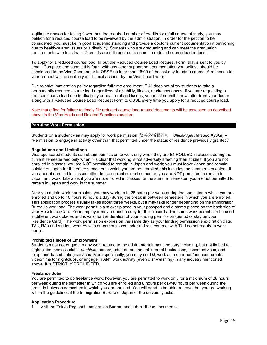legitimate reason for taking fewer than the required number of credits for a full course of study, you may petition for a reduced course load to be reviewed by the administration. In order for the petition to be considered, you must be in good academic standing and provide a doctor's current documentation if petitioning due to health-related issues or a disability. Students who are graduating and can meet the graduation requirements with less than 12 credits are still required to submit a reduced course load request.

To apply for a reduced course load, fill out the Reduced Course Load Request Form that is sent to you by email. Complete and submit this form with any other supporting documentation you believe should be considered to the Visa Coordinator in OSSE no later than 16:00 of the last day to add a course. A response to your request will be sent to your TUmail account by the Visa Coordinator.

Due to strict immigration policy regarding full-time enrollment, TUJ does not allow students to take a permanently reduced course load regardless of disability, illness, or circumstances. If you are requesting a reduced course load due to disability or health-related issues, you must submit a new letter from your doctor along with a Reduced Course Load Request Form to OSSE every time you apply for a reduced course load.

Note that a fine for failure to timely file reduced course load-related documents will be assessed as described above in the Visa Holds and Related Sanctions section.

#### <span id="page-16-0"></span>**Part-time Work Permission**

Students on a student visa may apply for work permission (資格外活動許可 *Shikakugai Katsudo Kyoka*) – "Permission to engage in activity other than that permitted under the status of residence previously granted."

#### **Regulations and Limitations**

Visa-sponsored students can obtain permission to work only when they are ENROLLED in classes during the current semester and only when it is clear that working is not adversely affecting their studies. If you are not enrolled in classes, you are NOT permitted to remain in Japan and work; you must leave Japan and remain outside of Japan for the entire semester in which you are not enrolled; this includes the summer semesters. If you are not enrolled in classes either in the current or next semester, you are NOT permitted to remain in Japan and work. Likewise, if you are not enrolled in classes for the summer semester, you are not permitted to remain in Japan and work in the summer.

After you obtain work permission, you may work up to 28 hours per week during the semester in which you are enrolled and up to 40 hours (8 hours a day) during the break in between semesters in which you are enrolled. This application process usually takes about three weeks, but it may take longer depending on the Immigration Bureau's workload. The work permit is a sticker placed in your passport and a stamp placed on the back side of your Residence Card. Your employer may request a copy for their records. The same work permit can be used in different work places and is valid for the duration of your landing permission (period of stay on your Residence Card). The work permission expires on the same day as your landing permission's expiration date. TAs, RAs and student workers with on-campus jobs under a direct contract with TUJ do not require a work permit.

#### **Prohibited Places of Employment**

Students must not engage in any work related to the adult entertainment industry including, but not limited to, night clubs, hostess clubs, *pachinko* parlors, adult-entertainment internet businesses, escort services, and telephone-based dating services. More specifically, you may not DJ, work as a doorman/bouncer, create video/films for nightclubs, or engage in ANY work activity (even dish-washing) in any industry mentioned above. It is STRICTLY PROHIBITED.

#### **Freelance Jobs**

You are permitted to do freelance work; however, you are permitted to work only for a maximum of 28 hours per week during the semester in which you are enrolled and 8 hours per day/40 hours per week during the break in between semesters in which you are enrolled. You will need to be able to prove that you are working within the guidelines if the Immigration Bureau of Japan or the university asks.

#### **Application Procedure**

1. Visit the Tokyo Regional Immigration Bureau and submit these documents: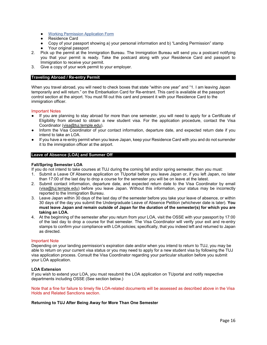- [Working Permission Application Form](https://tuportal6.temple.edu/documents/627136/788697/Work+Permit+Application+Form.xlsx/b4ff0118-55cb-762d-6ec6-f76011bb2532?t=1631345050063)
- Residence Card
- Copy of your passport showing a) your personal information and b) "Landing Permission" stamp
- Your original passport
- 2. Pick up the permit at the Immigration Bureau. The Immigration Bureau will send you a postcard notifying you that your permit is ready. Take the postcard along with your Residence Card and passport to Immigration to receive your permit.
- 3. Give a copy of your work permit to your employer.

# <span id="page-17-0"></span>**Traveling Abroad / Re-entry Permit**

When you travel abroad, you will need to check boxes that state "within one year" and "1. I am leaving Japan temporarily and will return." on the Embarkation Card for Re-entrant. This card is available at the passport control section at the airport. You must fill out this card and present it with your Residence Card to the immigration officer.

#### Important Notes

- If you are planning to stay abroad for more than one semester, you will need to apply for a Certificate of Eligibility from abroad to obtain a new student visa. For the application procedure, contact the Visa Coordinator (visa@tuj.temple.edu).
- Inform the Visa Coordinator of your contact information, departure date, and expected return date if you intend to take an LOA.
- If you have a re-entry permit when you leave Japan, keep your Residence Card with you and do not surrender it to the immigration officer at the airport.

# <span id="page-17-1"></span>**Leave of Absence (LOA) and Summer Off**

#### **Fall/Spring Semester LOA**

If you do not intend to take courses at TUJ during the coming fall and/or spring semester, then you must:

- 1. Submit a Leave Of Absence application on TUportal before you leave Japan or, if you left Japan, no later than 17:00 of the last day to drop a course for the semester you will be on leave at the latest.
- 2. Submit contact information, departure date, and expected return date to the Visa Coordinator by email (visa@tuj.temple.edu) before you leave Japan. Without this information, your status may be incorrectly reported to the Immigration Bureau.
- 3. Leave Japan within 30 days of the last day of the semester before you take your leave of absence, or within 30 days of the day you submit the Undergraduate Leave of Absence Petition (whichever date is later). **You must leave Japan and remain outside of Japan for the duration of the semester(s) for which you are taking an LOA.**
- 4. At the beginning of the semester after you return from your LOA, visit the OSSE with your passport by 17:00 of the last day to drop a course for that semester. The Visa Coordinator will verify your exit and re-entry stamps to confirm your compliance with LOA policies; specifically, that you indeed left and returned to Japan as directed.

#### Important Note

Depending on your landing permission's expiration date and/or when you intend to return to TUJ, you may be able to return on your current visa status or you may need to apply for a new student visa by following the TUJ visa application process. Consult the Visa Coordinator regarding your particular situation before you submit your LOA application.

#### **LOA Extension**

If you wish to extend your LOA, you must resubmit the LOA application on TUportal and notify respective departments including OSSE (See section below.)

Note that a fine for failure to timely file LOA-related documents will be assessed as described above in the Visa Holds and Related Sanctions section.

#### **Returning to TUJ After Being Away for More Than One Semester**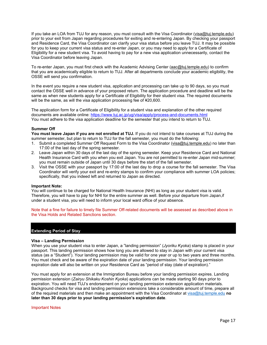If you take an LOA from TUJ for any reason, you must consult with the Visa Coordinator (visa@tuj.temple.edu) prior to your exit from Japan regarding procedures for exiting and re-entering Japan. By checking your passport and Residence Card, the Visa Coordinator can clarify your visa status before you leave TUJ. It may be possible for you to keep your current visa status and re-enter Japan, or you may need to apply for a Certificate of Eligibility for a new student visa. To avoid having to pay for a new visa application unnecessarily, contact the Visa Coordinator before leaving Japan.

To re-enter Japan, you must first check with the Academic Advising Center (aac@tuj.temple.edu) to confirm that you are academically eligible to return to TUJ. After all departments conclude your academic eligibility, the OSSE will send you confirmation.

In the event you require a new student visa, application and processing can take up to 90 days, so you must contact the OSSE well in advance of your proposed return. The application procedure and deadline will be the same as when new students apply for a Certificate of Eligibility for their student visa. The required documents will be the same, as will the visa application processing fee of ¥20,600.

The application form for a Certificate of Eligibility for a student visa and explanation of the other required documents are available online:<https://www.tuj.ac.jp/ug/visa/apply/process-and-documents.html> You must adhere to the visa application deadline for the semester that you intend to return to TUJ.

# **Summer Off**

**You must leave Japan if you are not enrolled at TUJ.** If you do not intend to take courses at TUJ during the summer semester, but plan to return to TUJ for the fall semester, you must do the following:

- 1. Submit a completed Summer Off Request Form to the Visa Coordinator (visa@tuj.temple.edu) no later than 17:00 of the last day of the spring semester.
- 2. Leave Japan within 30 days of the last day of the spring semester. Keep your Residence Card and National Health Insurance Card with you when you exit Japan. You are not permitted to re-enter Japan mid-summer; you must remain outside of Japan until 30 days before the start of the fall semester.
- 3. Visit the OSSE with your passport by 17:00 of the last day to drop a course for the fall semester. The Visa Coordinator will verify your exit and re-entry stamps to confirm your compliance with summer LOA policies; specifically, that you indeed left and returned to Japan as directed.

#### **Important Note:**

You will continue to be charged for National Health Insurance (NHI) as long as your student visa is valid. Therefore, you will have to pay for NHI for the entire summer as well. Before your departure from Japan,if under a student visa, you will need to inform your local ward office of your absence.

Note that a fine for failure to timely file Summer Off-related documents will be assessed as described above in the Visa Holds and Related Sanctions section.

#### <span id="page-18-0"></span>**Extending Period of Stay**

# **Visa – Landing Permission**

When you use your student visa to enter Japan, a "landing permission" (*Jyoriku Kyoka*) stamp is placed in your passport. This landing permission shows how long you are allowed to stay in Japan with your current visa status (as a "Student"). Your landing permission may be valid for one year or up to two years and three months. You must check and be aware of the expiration date of your landing permission. Your landing permission expiration date will also be written on your Residence Card as "period of stay (date of expiration)."

You must apply for an extension at the Immigration Bureau before your landing permission expires. Landing permission extension (*Zairyu Shikaku Koshin Kyoka*) applications can be made starting 90 days prior to expiration. You will need TUJ's endorsement on your landing permission extension application materials. Background checks for visa and landing permission extensions take a considerable amount of time, prepare all of the required materials and then make an appointment with the Visa Coordinator at [visa@tuj.temple.edu](mailto:visa@tuj.temple.edu) **no later than 30 days prior to your landing permission's expiration date**.

#### Important Notes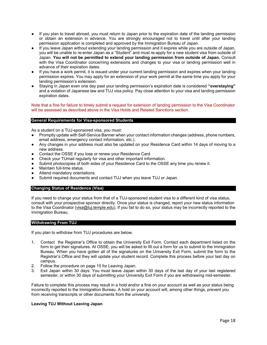- If you plan to travel abroad, you must return to Japan prior to the expiration date of the landing permission or obtain an extension in advance. You are strongly encouraged not to travel until after your landing permission application is completed and approved by the Immigration Bureau of Japan.
- If you leave Japan without extending your landing permission and it expires while you are outside of Japan, you will be unable to re-enter Japan as a "Student" and must re-apply for a new student visa from outside of Japan. **You will not be permitted to extend your landing permission from outside of Japan.** Consult with the Visa Coordinator concerning extensions and changes to your visa or landing permission well in advance of their expiration dates.
- If you have a work permit, it is issued under your current landing permission and expires when your landing permission expires. You may apply for an extension of your work permit at the same time you apply for your landing permission's extension.
- Staying in Japan even one day past your landing permission's expiration date is considered **"overstaying"** and a violation of Japanese law and TUJ visa policy. Pay close attention to your visa and landing permission expiration dates.

Note that a fine for failure to timely submit a request for extension of landing permission to the Visa Coordinator will be assessed as described above in the Visa Holds and Related Sanctions section.

# <span id="page-19-0"></span>**General Requirements for Visa-sponsored Students**

As a student on a TUJ-sponsored visa, you must:

- Promptly update with Self-Service Banner when your contact information changes (address, phone numbers, email address, emergency contact information, etc.).
- Any changes in your address must also be updated on your Residence Card within 14 days of moving to a new address.
- Contact the OSSE if you lose or renew your Residence Card
- Check your TUmail regularly for visa and other important information.
- Submit photocopies of both sides of your Residence Card to the OSSE any time you renew it.
- Maintain full-time status.
- Attend mandatory orientations.
- Submit required documents and contact TUJ when you leave TUJ or Japan.

#### <span id="page-19-1"></span>**Changing Status of Residence (Visa)**

If you need to change your status from that of a TUJ-sponsored student visa to a different kind of visa status, consult with your prospective sponsor directly. Once your status is changed, report your new status information to the Visa Coordinator (visa@tuj.temple.edu). If you fail to do so, your status may be incorrectly reported to the Immigration Bureau.

#### <span id="page-19-2"></span>**Withdrawing From TUJ**

If you plan to withdraw from TUJ procedures are below.

- 1. Contact the Registrar's Office to obtain the University Exit Form. Contact each department listed on the form to get their signatures. At OSSE, you will be asked to fill out a form for us to submit to the Immigration Bureau. When you have gotten all of the signatures on the University Exit Form, submit the form to the Registrar's Office and they will update your student record. Complete this process before your last day on campus.
- 2. Follow the procedure on page 15 for Leaving Japan.
- 3. Exit Japan within 30 days: You must leave Japan within 30 days of the last day of your last registered semester, or within 30 days of submitting your University Exit Form if you are withdrawing mid-semester.

Failure to complete this process may result in a hold and/or a fine on your account as well as your status being incorrectly reported to the Immigration Bureau. A hold on your account will, among other things, prevent you from receiving transcripts or other documents from the university.

# **Leaving TUJ Without Leaving Japan**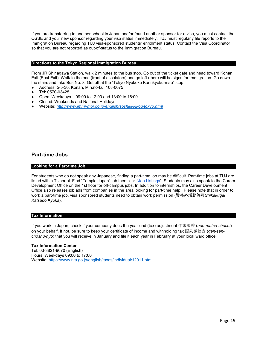If you are transferring to another school in Japan and/or found another sponsor for a visa, you must contact the OSSE and your new sponsor regarding your visa status immediately. TUJ must regularly file reports to the Immigration Bureau regarding TUJ visa-sponsored students' enrollment status. Contact the Visa Coordinator so that you are not reported as out-of-status to the Immigration Bureau.

## <span id="page-20-0"></span>**Directions to the Tokyo Regional Immigration Bureau**

From JR Shinagawa Station, walk 2 minutes to the bus stop. Go out of the ticket gate and head toward Konan Exit (East Exit). Walk to the end (front of escalators) and go left (there will be signs for Immigration. Go down the stairs and take Bus No. 8. Get off at the "Tokyo Nyukoku Kanrikyoku-mae" stop.

- Address: 5-5-30, Konan, Minato-ku, 108-0075
- Tel: 0570-03425
- Open: Weekdays  $-09:00$  to 12:00 and 13:00 to 16:00
- Closed: Weekends and National Holidays
- Website: *<http://www.immi-moj.go.jp/english/soshiki/kikou/tokyo.html>*

# <span id="page-20-1"></span>**Part-time Jobs**

# <span id="page-20-2"></span>**Looking for a Part-time Job**

For students who do not speak any Japanese, finding a part-time job may be difficult. Part-time jobs at TUJ are listed within TUportal. Find "Temple Japan" tab then click ["Job Listings"](https://tuportal6.temple.edu/group/japan/job-listings). Students may also speak to the Career Development Office on the 1st floor for off-campus jobs. In addition to internships, the Career Development Office also releases job ads from companies in the area looking for part-time help. Please note that in order to work a part-time job, visa sponsored students need to obtain work permission (資格外活動許可*Shikakugai Katsudo Kyoka*).

# <span id="page-20-3"></span>**Tax Information**

If you work in Japan, check if your company does the year-end (tax) adjustment 年末調整 (*nen-matsu-chosei*) on your behalf. If not, be sure to keep your certificate of income and withholding tax 源泉徴収表 (*gen-senchoshu-hyo*) that you will receive in January and file it each year in February at your local ward office.

#### **Tax Information Center**

Tel: 03-3821-9070 (English) Hours: Weekdays 09:00 to 17:00 Website[: https://www.nta.go.jp/english/taxes/individual/12011.htm](https://www.nta.go.jp/english/taxes/individual/12011.htm)